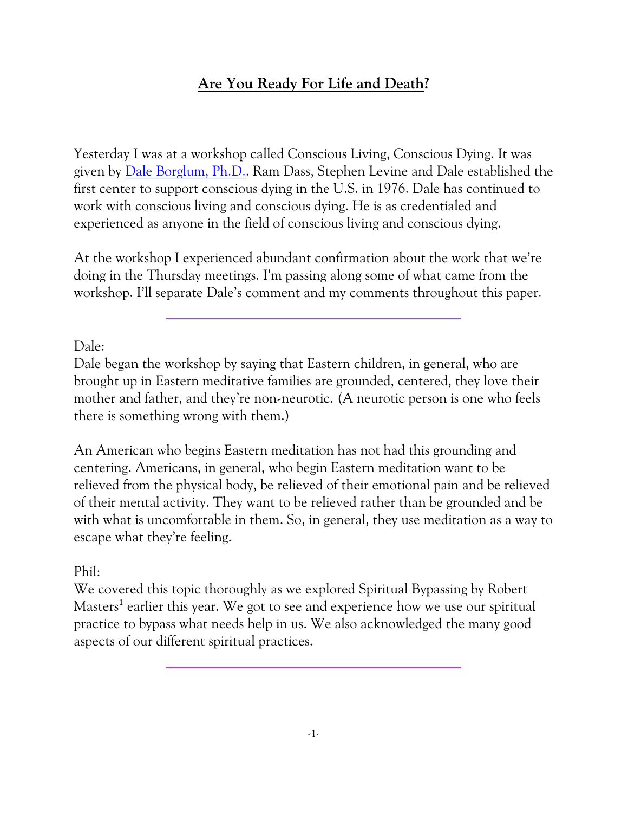# **Are You Ready For Life and Death?**

Yesterday I was at a workshop called Conscious Living, Conscious Dying. It was given by [Dale Borglum, Ph.D.](http://livingdying.org/about-us/). Ram Dass, Stephen Levine and Dale established the first center to support conscious dying in the U.S. in 1976. Dale has continued to work with conscious living and conscious dying. He is as credentialed and experienced as anyone in the field of conscious living and conscious dying.

At the workshop I experienced abundant confirmation about the work that we're doing in the Thursday meetings. I'm passing along some of what came from the workshop. I'll separate Dale's comment and my comments throughout this paper.

Dale:

Dale began the workshop by saying that Eastern children, in general, who are brought up in Eastern meditative families are grounded, centered, they love their mother and father, and they're non-neurotic. (A neurotic person is one who feels there is something wrong with them.)

An American who begins Eastern meditation has not had this grounding and centering. Americans, in general, who begin Eastern meditation want to be relieved from the physical body, be relieved of their emotional pain and be relieved of their mental activity. They want to be relieved rather than be grounded and be with what is uncomfortable in them. So, in general, they use meditation as a way to escape what they're feeling.

Phil:

We covered this topic thoroughly as we explored Spiritual Bypassing by Robert Masters<sup>1</sup> earlier this year. We got to see and experience how we use our spiritual practice to bypass what needs help in us. We also acknowledged the many good aspects of our different spiritual practices.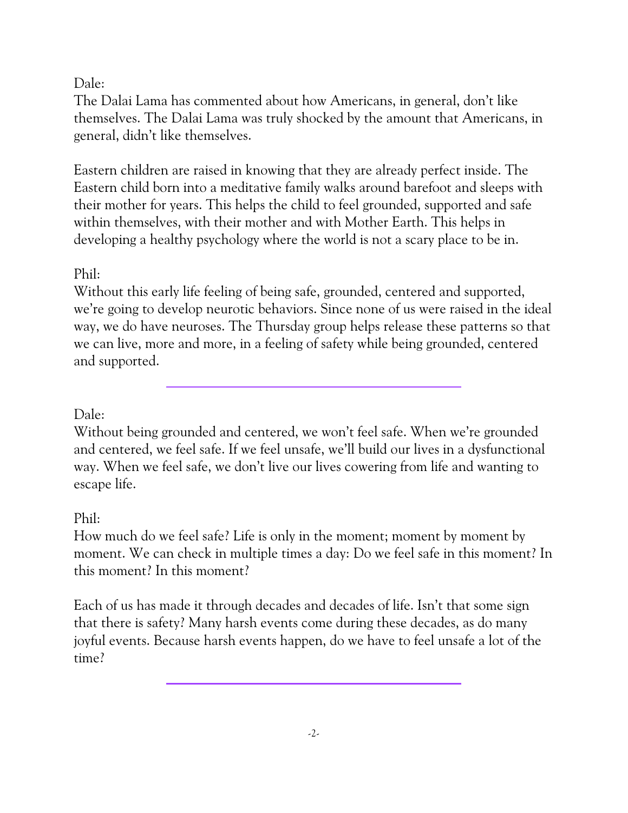#### Dale:

The Dalai Lama has commented about how Americans, in general, don't like themselves. The Dalai Lama was truly shocked by the amount that Americans, in general, didn't like themselves.

Eastern children are raised in knowing that they are already perfect inside. The Eastern child born into a meditative family walks around barefoot and sleeps with their mother for years. This helps the child to feel grounded, supported and safe within themselves, with their mother and with Mother Earth. This helps in developing a healthy psychology where the world is not a scary place to be in.

## Phil:

Without this early life feeling of being safe, grounded, centered and supported, we're going to develop neurotic behaviors. Since none of us were raised in the ideal way, we do have neuroses. The Thursday group helps release these patterns so that we can live, more and more, in a feeling of safety while being grounded, centered and supported.

### Dale:

Without being grounded and centered, we won't feel safe. When we're grounded and centered, we feel safe. If we feel unsafe, we'll build our lives in a dysfunctional way. When we feel safe, we don't live our lives cowering from life and wanting to escape life.

### Phil:

How much do we feel safe? Life is only in the moment; moment by moment by moment. We can check in multiple times a day: Do we feel safe in this moment? In this moment? In this moment?

Each of us has made it through decades and decades of life. Isn't that some sign that there is safety? Many harsh events come during these decades, as do many joyful events. Because harsh events happen, do we have to feel unsafe a lot of the time?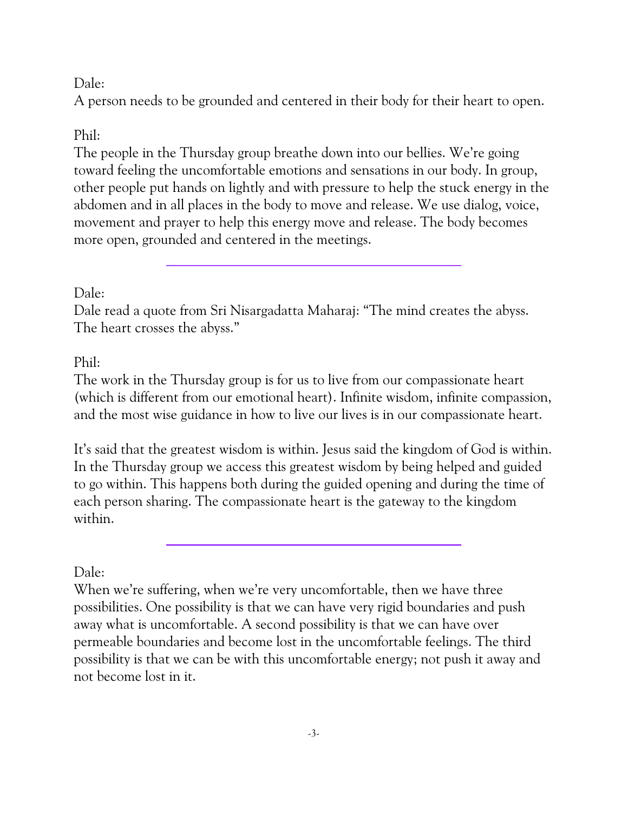#### Dale:

A person needs to be grounded and centered in their body for their heart to open.

#### Phil:

The people in the Thursday group breathe down into our bellies. We're going toward feeling the uncomfortable emotions and sensations in our body. In group, other people put hands on lightly and with pressure to help the stuck energy in the abdomen and in all places in the body to move and release. We use dialog, voice, movement and prayer to help this energy move and release. The body becomes more open, grounded and centered in the meetings.

#### Dale:

Dale read a quote from Sri Nisargadatta Maharaj: "The mind creates the abyss. The heart crosses the abyss."

#### Phil:

The work in the Thursday group is for us to live from our compassionate heart (which is different from our emotional heart). Infinite wisdom, infinite compassion, and the most wise guidance in how to live our lives is in our compassionate heart.

It's said that the greatest wisdom is within. Jesus said the kingdom of God is within. In the Thursday group we access this greatest wisdom by being helped and guided to go within. This happens both during the guided opening and during the time of each person sharing. The compassionate heart is the gateway to the kingdom within.

#### Dale:

When we're suffering, when we're very uncomfortable, then we have three possibilities. One possibility is that we can have very rigid boundaries and push away what is uncomfortable. A second possibility is that we can have over permeable boundaries and become lost in the uncomfortable feelings. The third possibility is that we can be with this uncomfortable energy; not push it away and not become lost in it.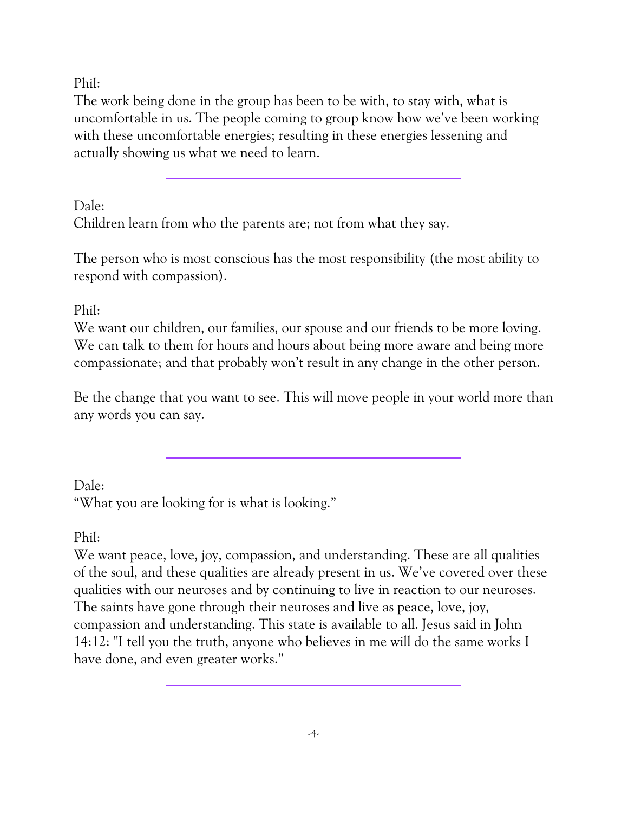Phil:

The work being done in the group has been to be with, to stay with, what is uncomfortable in us. The people coming to group know how we've been working with these uncomfortable energies; resulting in these energies lessening and actually showing us what we need to learn.

Dale: Children learn from who the parents are; not from what they say.

The person who is most conscious has the most responsibility (the most ability to respond with compassion).

Phil:

We want our children, our families, our spouse and our friends to be more loving. We can talk to them for hours and hours about being more aware and being more compassionate; and that probably won't result in any change in the other person.

Be the change that you want to see. This will move people in your world more than any words you can say.

Dale: "What you are looking for is what is looking."

Phil:

We want peace, love, joy, compassion, and understanding. These are all qualities of the soul, and these qualities are already present in us. We've covered over these qualities with our neuroses and by continuing to live in reaction to our neuroses. The saints have gone through their neuroses and live as peace, love, joy, compassion and understanding. This state is available to all. Jesus said in John 14:12: "I tell you the truth, anyone who believes in me will do the same works I have done, and even greater works."